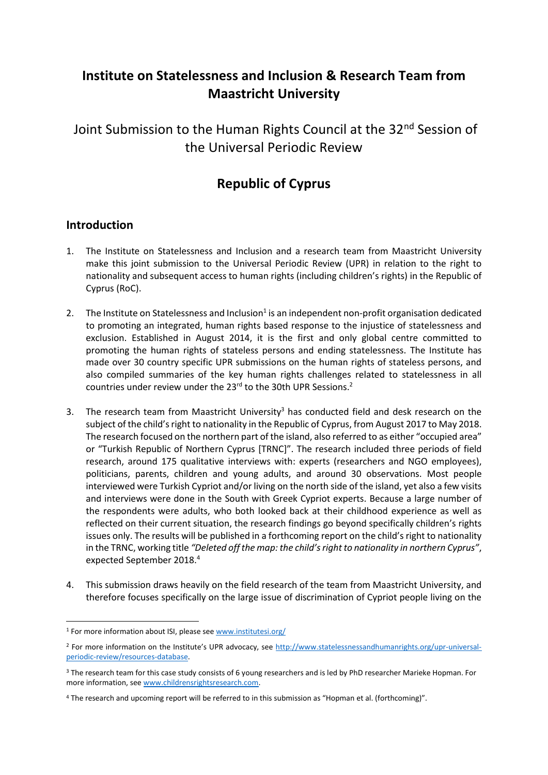# **Institute on Statelessness and Inclusion & Research Team from Maastricht University**

Joint Submission to the Human Rights Council at the 32<sup>nd</sup> Session of the Universal Periodic Review

## **Republic of Cyprus**

## **Introduction**

- 1. The Institute on Statelessness and Inclusion and a research team from Maastricht University make this joint submission to the Universal Periodic Review (UPR) in relation to the right to nationality and subsequent access to human rights (including children's rights) in the Republic of Cyprus (RoC).
- 2. The Institute on Statelessness and Inclusion<sup>1</sup> is an independent non-profit organisation dedicated to promoting an integrated, human rights based response to the injustice of statelessness and exclusion. Established in August 2014, it is the first and only global centre committed to promoting the human rights of stateless persons and ending statelessness. The Institute has made over 30 country specific UPR submissions on the human rights of stateless persons, and also compiled summaries of the key human rights challenges related to statelessness in all countries under review under the 23<sup>rd</sup> to the 30th UPR Sessions.<sup>2</sup>
- 3. The research team from Maastricht University<sup>3</sup> has conducted field and desk research on the subject of the child's right to nationality in the Republic of Cyprus, from August 2017 to May 2018. The research focused on the northern part of the island, also referred to as either "occupied area" or "Turkish Republic of Northern Cyprus [TRNC]". The research included three periods of field research, around 175 qualitative interviews with: experts (researchers and NGO employees), politicians, parents, children and young adults, and around 30 observations. Most people interviewed were Turkish Cypriot and/or living on the north side of the island, yet also a few visits and interviews were done in the South with Greek Cypriot experts. Because a large number of the respondents were adults, who both looked back at their childhood experience as well as reflected on their current situation, the research findings go beyond specifically children's rights issues only. The results will be published in a forthcoming report on the child's right to nationality in the TRNC, working title *"Deleted off the map: the child's right to nationality in northern Cyprus"*, expected September 2018.<sup>4</sup>
- 4. This submission draws heavily on the field research of the team from Maastricht University, and therefore focuses specifically on the large issue of discrimination of Cypriot people living on the

<sup>1</sup> For more information about ISI, please see [www.institutesi.org/](http://www.institutesi.org/)

<sup>&</sup>lt;sup>2</sup> For more information on the Institute's UPR advocacy, see [http://www.statelessnessandhumanrights.org/upr-universal](http://www.institutesi.org/ourwork/humanrights.php)[periodic-review/resources-database.](http://www.institutesi.org/ourwork/humanrights.php)

<sup>&</sup>lt;sup>3</sup> The research team for this case study consists of 6 young researchers and is led by PhD researcher Marieke Hopman. For more information, see [www.childrensrightsresearch.com.](http://www.childrensrightsresearch.com/)

<sup>4</sup> The research and upcoming report will be referred to in this submission as "Hopman et al. (forthcoming)".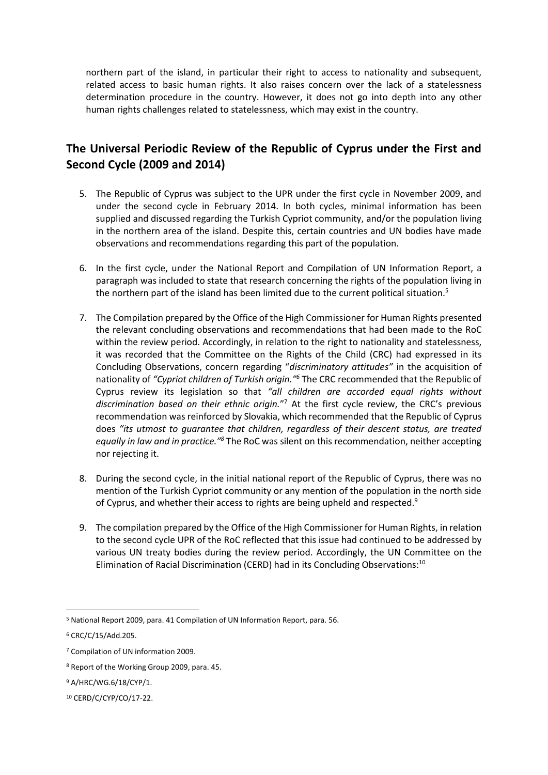northern part of the island, in particular their right to access to nationality and subsequent, related access to basic human rights. It also raises concern over the lack of a statelessness determination procedure in the country. However, it does not go into depth into any other human rights challenges related to statelessness, which may exist in the country.

## **The Universal Periodic Review of the Republic of Cyprus under the First and Second Cycle (2009 and 2014)**

- 5. The Republic of Cyprus was subject to the UPR under the first cycle in November 2009, and under the second cycle in February 2014. In both cycles, minimal information has been supplied and discussed regarding the Turkish Cypriot community, and/or the population living in the northern area of the island. Despite this, certain countries and UN bodies have made observations and recommendations regarding this part of the population.
- 6. In the first cycle, under the National Report and Compilation of UN Information Report, a paragraph was included to state that research concerning the rights of the population living in the northern part of the island has been limited due to the current political situation.<sup>5</sup>
- 7. The Compilation prepared by the Office of the High Commissioner for Human Rights presented the relevant concluding observations and recommendations that had been made to the RoC within the review period. Accordingly, in relation to the right to nationality and statelessness, it was recorded that the Committee on the Rights of the Child (CRC) had expressed in its Concluding Observations, concern regarding "*discriminatory attitudes"* in the acquisition of nationality of *"Cypriot children of Turkish origin."<sup>6</sup>* The CRC recommended that the Republic of Cyprus review its legislation so that *"all children are accorded equal rights without discrimination based on their ethnic origin.*" <sup>7</sup> At the first cycle review, the CRC's previous recommendation was reinforced by Slovakia, which recommended that the Republic of Cyprus does *"its utmost to guarantee that children, regardless of their descent status, are treated equally in law and in practice."<sup>8</sup>* The RoC was silent on this recommendation, neither accepting nor rejecting it.
- 8. During the second cycle, in the initial national report of the Republic of Cyprus, there was no mention of the Turkish Cypriot community or any mention of the population in the north side of Cyprus, and whether their access to rights are being upheld and respected.<sup>9</sup>
- 9. The compilation prepared by the Office of the High Commissioner for Human Rights, in relation to the second cycle UPR of the RoC reflected that this issue had continued to be addressed by various UN treaty bodies during the review period. Accordingly, the UN Committee on the Elimination of Racial Discrimination (CERD) had in its Concluding Observations:<sup>10</sup>

<sup>5</sup> National Report 2009, para. 41 Compilation of UN Information Report, para. 56.

<sup>6</sup> CRC/C/15/Add.205.

<sup>7</sup> Compilation of UN information 2009.

<sup>8</sup> Report of the Working Group 2009, para. 45.

<sup>9</sup> A/HRC/WG.6/18/CYP/1.

<sup>10</sup> CERD/C/CYP/CO/17-22.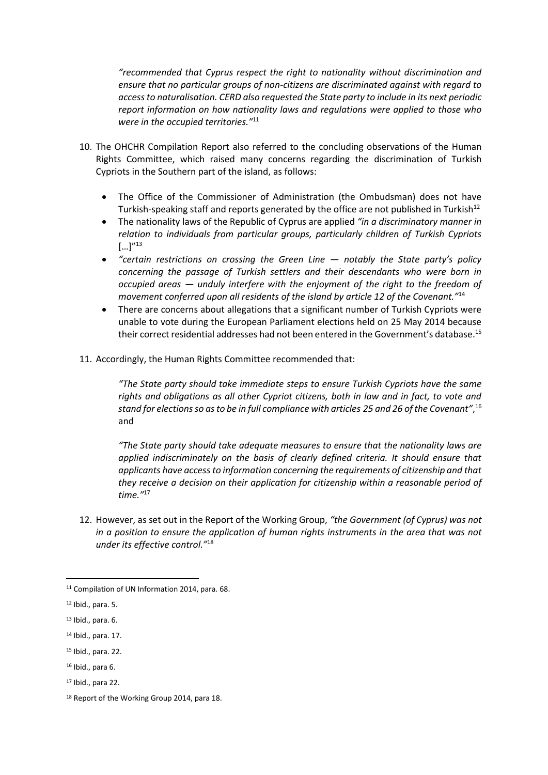*"recommended that Cyprus respect the right to nationality without discrimination and ensure that no particular groups of non-citizens are discriminated against with regard to access to naturalisation. CERD also requested the State party to include in its next periodic report information on how nationality laws and regulations were applied to those who were in the occupied territories."* 11

- 10. The OHCHR Compilation Report also referred to the concluding observations of the Human Rights Committee, which raised many concerns regarding the discrimination of Turkish Cypriots in the Southern part of the island, as follows:
	- The Office of the Commissioner of Administration (the Ombudsman) does not have Turkish-speaking staff and reports generated by the office are not published in Turkish<sup>12</sup>
	- The nationality laws of the Republic of Cyprus are applied *"in a discriminatory manner in relation to individuals from particular groups, particularly children of Turkish Cypriots*  $[...]''^{13}$
	- *"certain restrictions on crossing the Green Line — notably the State party's policy concerning the passage of Turkish settlers and their descendants who were born in occupied areas — unduly interfere with the enjoyment of the right to the freedom of movement conferred upon all residents of the island by article 12 of the Covenant."*<sup>14</sup>
	- There are concerns about allegations that a significant number of Turkish Cypriots were unable to vote during the European Parliament elections held on 25 May 2014 because their correct residential addresses had not been entered in the Government's database. 15
- 11. Accordingly, the Human Rights Committee recommended that:

*"The State party should take immediate steps to ensure Turkish Cypriots have the same rights and obligations as all other Cypriot citizens, both in law and in fact, to vote and stand for elections so as to be in full compliance with articles 25 and 26 of the Covenant"*, 16 and

*"The State party should take adequate measures to ensure that the nationality laws are applied indiscriminately on the basis of clearly defined criteria. It should ensure that applicants have access to information concerning the requirements of citizenship and that they receive a decision on their application for citizenship within a reasonable period of time."*<sup>17</sup>

12. However, as set out in the Report of the Working Group, *"the Government (of Cyprus) was not in a position to ensure the application of human rights instruments in the area that was not under its effective control."*<sup>18</sup>

<sup>11</sup> Compilation of UN Information 2014, para. 68.

<sup>12</sup> Ibid., para. 5.

<sup>13</sup> Ibid., para. 6.

<sup>14</sup> Ibid., para. 17.

<sup>15</sup> Ibid., para. 22.

<sup>16</sup> Ibid., para 6.

<sup>17</sup> Ibid., para 22.

<sup>18</sup> Report of the Working Group 2014, para 18.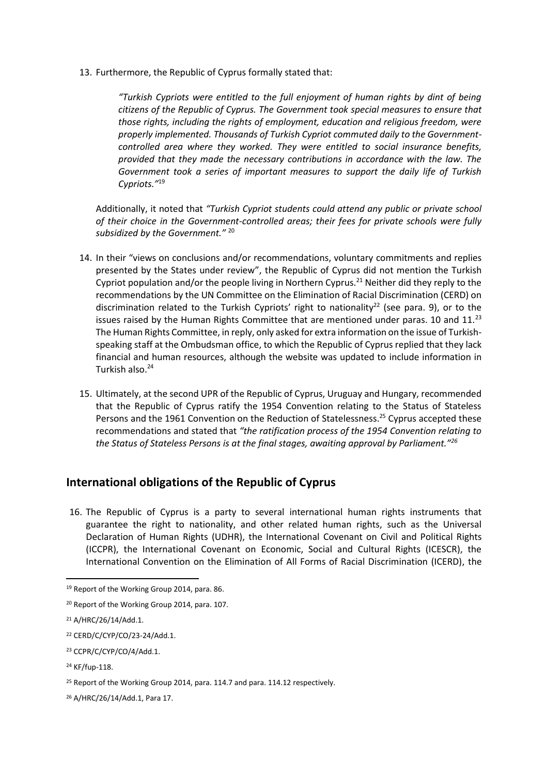13. Furthermore, the Republic of Cyprus formally stated that:

*"Turkish Cypriots were entitled to the full enjoyment of human rights by dint of being citizens of the Republic of Cyprus. The Government took special measures to ensure that those rights, including the rights of employment, education and religious freedom, were properly implemented. Thousands of Turkish Cypriot commuted daily to the Governmentcontrolled area where they worked. They were entitled to social insurance benefits, provided that they made the necessary contributions in accordance with the law. The Government took a series of important measures to support the daily life of Turkish Cypriots."*<sup>19</sup>

Additionally, it noted that *"Turkish Cypriot students could attend any public or private school of their choice in the Government-controlled areas; their fees for private schools were fully subsidized by the Government."* <sup>20</sup>

- 14. In their "views on conclusions and/or recommendations, voluntary commitments and replies presented by the States under review", the Republic of Cyprus did not mention the Turkish Cypriot population and/or the people living in Northern Cyprus.<sup>21</sup> Neither did they reply to the recommendations by the UN Committee on the Elimination of Racial Discrimination (CERD) on discrimination related to the Turkish Cypriots' right to nationality<sup>22</sup> (see para. 9), or to the issues raised by the Human Rights Committee that are mentioned under paras. 10 and  $11.^{23}$ The Human Rights Committee, in reply, only asked for extra information on the issue of Turkishspeaking staff at the Ombudsman office, to which the Republic of Cyprus replied that they lack financial and human resources, although the website was updated to include information in Turkish also.<sup>24</sup>
- 15. Ultimately, at the second UPR of the Republic of Cyprus, Uruguay and Hungary, recommended that the Republic of Cyprus ratify the 1954 Convention relating to the Status of Stateless Persons and the 1961 Convention on the Reduction of Statelessness.<sup>25</sup> Cyprus accepted these recommendations and stated that *"the ratification process of the 1954 Convention relating to the Status of Stateless Persons is at the final stages, awaiting approval by Parliament."<sup>26</sup>*

## **International obligations of the Republic of Cyprus**

16. The Republic of Cyprus is a party to several international human rights instruments that guarantee the right to nationality, and other related human rights, such as the Universal Declaration of Human Rights (UDHR), the International Covenant on Civil and Political Rights (ICCPR), the International Covenant on Economic, Social and Cultural Rights (ICESCR), the International Convention on the Elimination of All Forms of Racial Discrimination (ICERD), the

<sup>19</sup> Report of the Working Group 2014, para. 86.

<sup>20</sup> Report of the Working Group 2014, para. 107.

<sup>21</sup> A/HRC/26/14/Add.1.

<sup>22</sup> CERD/C/CYP/CO/23-24/Add.1.

<sup>&</sup>lt;sup>23</sup> CCPR/C/CYP/CO/4/Add.1.

<sup>24</sup> KF/fup-118.

<sup>&</sup>lt;sup>25</sup> Report of the Working Group 2014, para. 114.7 and para. 114.12 respectively.

<sup>26</sup> A/HRC/26/14/Add.1, Para 17.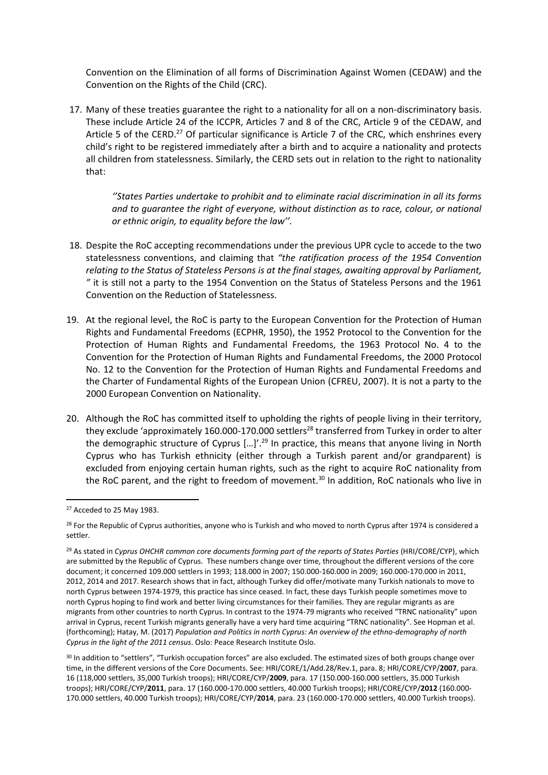Convention on the Elimination of all forms of Discrimination Against Women (CEDAW) and the Convention on the Rights of the Child (CRC).

17. Many of these treaties guarantee the right to a nationality for all on a non-discriminatory basis. These include Article 24 of the ICCPR, Articles 7 and 8 of the CRC, Article 9 of the CEDAW, and Article 5 of the CERD.<sup>27</sup> Of particular significance is Article 7 of the CRC, which enshrines every child's right to be registered immediately after a birth and to acquire a nationality and protects all children from statelessness. Similarly, the CERD sets out in relation to the right to nationality that:

> *''States Parties undertake to prohibit and to eliminate racial discrimination in all its forms and to guarantee the right of everyone, without distinction as to race, colour, or national or ethnic origin, to equality before the law''.*

- 18. Despite the RoC accepting recommendations under the previous UPR cycle to accede to the two statelessness conventions, and claiming that *"the ratification process of the 1954 Convention relating to the Status of Stateless Persons is at the final stages, awaiting approval by Parliament, "* it is still not a party to the 1954 Convention on the Status of Stateless Persons and the 1961 Convention on the Reduction of Statelessness.
- 19. At the regional level, the RoC is party to the European Convention for the Protection of Human Rights and Fundamental Freedoms (ECPHR, 1950), the 1952 Protocol to the Convention for the Protection of Human Rights and Fundamental Freedoms, the 1963 Protocol No. 4 to the Convention for the Protection of Human Rights and Fundamental Freedoms, the 2000 Protocol No. 12 to the Convention for the Protection of Human Rights and Fundamental Freedoms and the Charter of Fundamental Rights of the European Union (CFREU, 2007). It is not a party to the 2000 European Convention on Nationality.
- 20. Although the RoC has committed itself to upholding the rights of people living in their territory, they exclude 'approximately 160.000-170.000 settlers<sup>28</sup> transferred from Turkey in order to alter the demographic structure of Cyprus  $[...]^{29}$  In practice, this means that anyone living in North Cyprus who has Turkish ethnicity (either through a Turkish parent and/or grandparent) is excluded from enjoying certain human rights, such as the right to acquire RoC nationality from the RoC parent, and the right to freedom of movement.<sup>30</sup> In addition, RoC nationals who live in

**.** 

<sup>30</sup> In addition to "settlers", "Turkish occupation forces" are also excluded. The estimated sizes of both groups change over time, in the different versions of the Core Documents. See: HRI/CORE/1/Add.28/Rev.1, para. 8; HRI/CORE/CYP/**2007**, para. 16 (118,000 settlers, 35,000 Turkish troops); HRI/CORE/CYP/**2009**, para. 17 (150.000-160.000 settlers, 35.000 Turkish troops); HRI/CORE/CYP/**2011**, para. 17 (160.000-170.000 settlers, 40.000 Turkish troops); HRI/CORE/CYP/**2012** (160.000- 170.000 settlers, 40.000 Turkish troops); HRI/CORE/CYP/**2014**, para. 23 (160.000-170.000 settlers, 40.000 Turkish troops).

<sup>27</sup> Acceded to 25 May 1983.

<sup>&</sup>lt;sup>28</sup> For the Republic of Cyprus authorities, anyone who is Turkish and who moved to north Cyprus after 1974 is considered a settler.

<sup>&</sup>lt;sup>29</sup> As stated in *Cyprus OHCHR common core documents forming part of the reports of States Parties (HRI/CORE/CYP), which* are submitted by the Republic of Cyprus. These numbers change over time, throughout the different versions of the core document; it concerned 109.000 settlers in 1993; 118.000 in 2007; 150.000-160.000 in 2009; 160.000-170.000 in 2011, 2012, 2014 and 2017. Research shows that in fact, although Turkey did offer/motivate many Turkish nationals to move to north Cyprus between 1974-1979, this practice has since ceased. In fact, these days Turkish people sometimes move to north Cyprus hoping to find work and better living circumstances for their families. They are regular migrants as are migrants from other countries to north Cyprus. In contrast to the 1974-79 migrants who received "TRNC nationality" upon arrival in Cyprus, recent Turkish migrants generally have a very hard time acquiring "TRNC nationality". See Hopman et al. (forthcoming); Hatay, M. (2017) *Population and Politics in north Cyprus: An overview of the ethno-demography of north Cyprus in the light of the 2011 census*. Oslo: Peace Research Institute Oslo.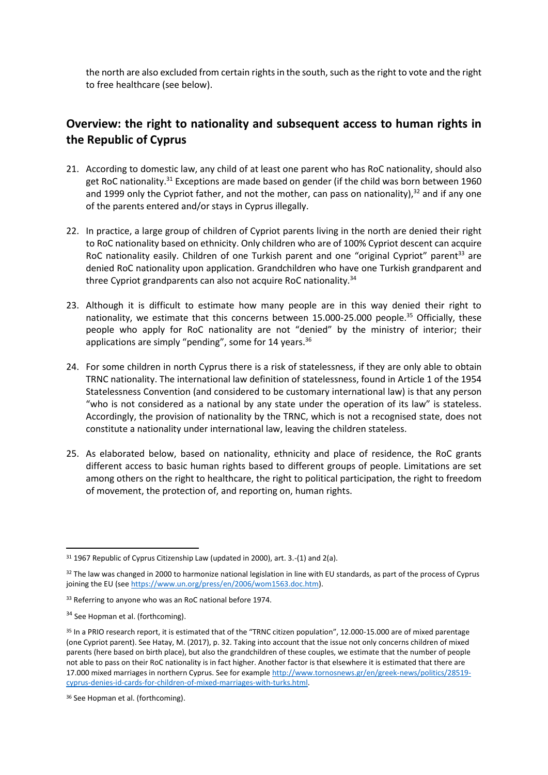the north are also excluded from certain rights in the south, such as the right to vote and the right to free healthcare (see below).

## **Overview: the right to nationality and subsequent access to human rights in the Republic of Cyprus**

- 21. According to domestic law, any child of at least one parent who has RoC nationality, should also get RoC nationality.<sup>31</sup> Exceptions are made based on gender (if the child was born between 1960 and 1999 only the Cypriot father, and not the mother, can pass on nationality),<sup>32</sup> and if any one of the parents entered and/or stays in Cyprus illegally.
- 22. In practice, a large group of children of Cypriot parents living in the north are denied their right to RoC nationality based on ethnicity. Only children who are of 100% Cypriot descent can acquire RoC nationality easily. Children of one Turkish parent and one "original Cypriot" parent<sup>33</sup> are denied RoC nationality upon application. Grandchildren who have one Turkish grandparent and three Cypriot grandparents can also not acquire RoC nationality.<sup>34</sup>
- 23. Although it is difficult to estimate how many people are in this way denied their right to nationality, we estimate that this concerns between 15.000-25.000 people.<sup>35</sup> Officially, these people who apply for RoC nationality are not "denied" by the ministry of interior; their applications are simply "pending", some for 14 years.<sup>36</sup>
- 24. For some children in north Cyprus there is a risk of statelessness, if they are only able to obtain TRNC nationality. The international law definition of statelessness, found in Article 1 of the 1954 Statelessness Convention (and considered to be customary international law) is that any person "who is not considered as a national by any state under the operation of its law" is stateless. Accordingly, the provision of nationality by the TRNC, which is not a recognised state, does not constitute a nationality under international law, leaving the children stateless.
- 25. As elaborated below, based on nationality, ethnicity and place of residence, the RoC grants different access to basic human rights based to different groups of people. Limitations are set among others on the right to healthcare, the right to political participation, the right to freedom of movement, the protection of, and reporting on, human rights.

<sup>&</sup>lt;sup>31</sup> 1967 Republic of Cyprus Citizenship Law (updated in 2000), art. 3.-(1) and 2(a).

<sup>32</sup> The law was changed in 2000 to harmonize national legislation in line with EU standards, as part of the process of Cyprus joining the EU (se[e https://www.un.org/press/en/2006/wom1563.doc.htm\)](https://www.un.org/press/en/2006/wom1563.doc.htm).

<sup>&</sup>lt;sup>33</sup> Referring to anyone who was an RoC national before 1974.

<sup>&</sup>lt;sup>34</sup> See Hopman et al. (forthcoming).

<sup>&</sup>lt;sup>35</sup> In a PRIO research report, it is estimated that of the "TRNC citizen population", 12.000-15.000 are of mixed parentage (one Cypriot parent). See Hatay, M. (2017), p. 32. Taking into account that the issue not only concerns children of mixed parents (here based on birth place), but also the grandchildren of these couples, we estimate that the number of people not able to pass on their RoC nationality is in fact higher. Another factor is that elsewhere it is estimated that there are 17.000 mixed marriages in northern Cyprus. See for example [http://www.tornosnews.gr/en/greek-news/politics/28519](http://www.tornosnews.gr/en/greek-news/politics/28519-cyprus-denies-id-cards-for-children-of-mixed-marriages-with-turks.html) [cyprus-denies-id-cards-for-children-of-mixed-marriages-with-turks.html.](http://www.tornosnews.gr/en/greek-news/politics/28519-cyprus-denies-id-cards-for-children-of-mixed-marriages-with-turks.html)

<sup>&</sup>lt;sup>36</sup> See Hopman et al. (forthcoming).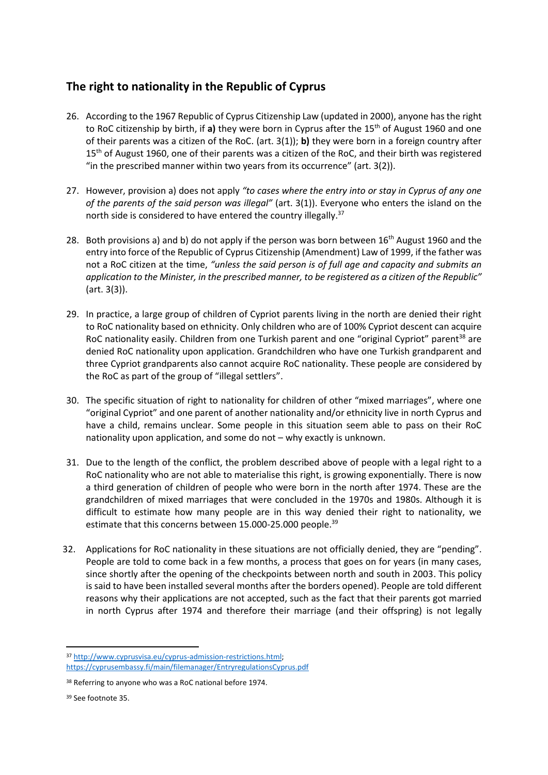## **The right to nationality in the Republic of Cyprus**

- 26. According to the 1967 Republic of Cyprus Citizenship Law (updated in 2000), anyone has the right to RoC citizenship by birth, if a) they were born in Cyprus after the 15<sup>th</sup> of August 1960 and one of their parents was a citizen of the RoC. (art. 3(1)); **b)** they were born in a foreign country after 15<sup>th</sup> of August 1960, one of their parents was a citizen of the RoC, and their birth was registered "in the prescribed manner within two years from its occurrence" (art. 3(2)).
- 27. However, provision a) does not apply *"to cases where the entry into or stay in Cyprus of any one of the parents of the said person was illegal"* (art. 3(1)). Everyone who enters the island on the north side is considered to have entered the country illegally.<sup>37</sup>
- 28. Both provisions a) and b) do not apply if the person was born between 16<sup>th</sup> August 1960 and the entry into force of the Republic of Cyprus Citizenship (Amendment) Law of 1999, if the father was not a RoC citizen at the time, *"unless the said person is of full age and capacity and submits an application to the Minister, in the prescribed manner, to be registered as a citizen of the Republic"* (art. 3(3)).
- 29. In practice, a large group of children of Cypriot parents living in the north are denied their right to RoC nationality based on ethnicity. Only children who are of 100% Cypriot descent can acquire RoC nationality easily. Children from one Turkish parent and one "original Cypriot" parent<sup>38</sup> are denied RoC nationality upon application. Grandchildren who have one Turkish grandparent and three Cypriot grandparents also cannot acquire RoC nationality. These people are considered by the RoC as part of the group of "illegal settlers".
- 30. The specific situation of right to nationality for children of other "mixed marriages", where one "original Cypriot" and one parent of another nationality and/or ethnicity live in north Cyprus and have a child, remains unclear. Some people in this situation seem able to pass on their RoC nationality upon application, and some do not – why exactly is unknown.
- 31. Due to the length of the conflict, the problem described above of people with a legal right to a RoC nationality who are not able to materialise this right, is growing exponentially. There is now a third generation of children of people who were born in the north after 1974. These are the grandchildren of mixed marriages that were concluded in the 1970s and 1980s. Although it is difficult to estimate how many people are in this way denied their right to nationality, we estimate that this concerns between 15.000-25.000 people.<sup>39</sup>
- 32. Applications for RoC nationality in these situations are not officially denied, they are "pending". People are told to come back in a few months, a process that goes on for years (in many cases, since shortly after the opening of the checkpoints between north and south in 2003. This policy is said to have been installed several months after the borders opened). People are told different reasons why their applications are not accepted, such as the fact that their parents got married in north Cyprus after 1974 and therefore their marriage (and their offspring) is not legally

 $\overline{a}$ 

<sup>37</sup> [http://www.cyprusvisa.eu/cyprus-admission-restrictions.html;](http://www.cyprusvisa.eu/cyprus-admission-restrictions.html)  <https://cyprusembassy.fi/main/filemanager/EntryregulationsCyprus.pdf>

<sup>&</sup>lt;sup>38</sup> Referring to anyone who was a RoC national before 1974.

<sup>39</sup> See footnote 35.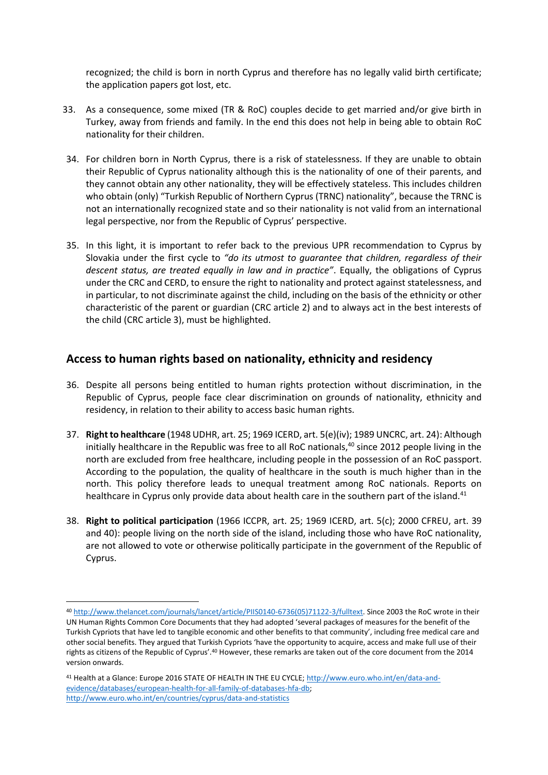recognized; the child is born in north Cyprus and therefore has no legally valid birth certificate; the application papers got lost, etc.

- 33. As a consequence, some mixed (TR & RoC) couples decide to get married and/or give birth in Turkey, away from friends and family. In the end this does not help in being able to obtain RoC nationality for their children.
- 34. For children born in North Cyprus, there is a risk of statelessness. If they are unable to obtain their Republic of Cyprus nationality although this is the nationality of one of their parents, and they cannot obtain any other nationality, they will be effectively stateless. This includes children who obtain (only) "Turkish Republic of Northern Cyprus (TRNC) nationality", because the TRNC is not an internationally recognized state and so their nationality is not valid from an international legal perspective, nor from the Republic of Cyprus' perspective.
- 35. In this light, it is important to refer back to the previous UPR recommendation to Cyprus by Slovakia under the first cycle to *"do its utmost to guarantee that children, regardless of their descent status, are treated equally in law and in practice"*. Equally, the obligations of Cyprus under the CRC and CERD, to ensure the right to nationality and protect against statelessness, and in particular, to not discriminate against the child, including on the basis of the ethnicity or other characteristic of the parent or guardian (CRC article 2) and to always act in the best interests of the child (CRC article 3), must be highlighted.

## **Access to human rights based on nationality, ethnicity and residency**

- 36. Despite all persons being entitled to human rights protection without discrimination, in the Republic of Cyprus, people face clear discrimination on grounds of nationality, ethnicity and residency, in relation to their ability to access basic human rights.
- 37. **Right to healthcare** (1948 UDHR, art. 25; 1969 ICERD, art. 5(e)(iv); 1989 UNCRC, art. 24): Although initially healthcare in the Republic was free to all RoC nationals, $40$  since 2012 people living in the north are excluded from free healthcare, including people in the possession of an RoC passport. According to the population, the quality of healthcare in the south is much higher than in the north. This policy therefore leads to unequal treatment among RoC nationals. Reports on healthcare in Cyprus only provide data about health care in the southern part of the island.<sup>41</sup>
- 38. **Right to political participation** (1966 ICCPR, art. 25; 1969 ICERD, art. 5(c); 2000 CFREU, art. 39 and 40): people living on the north side of the island, including those who have RoC nationality, are not allowed to vote or otherwise politically participate in the government of the Republic of Cyprus.

<sup>40</sup> [http://www.thelancet.com/journals/lancet/article/PIIS0140-6736\(05\)71122-3/fulltext.](http://www.thelancet.com/journals/lancet/article/PIIS0140-6736(05)71122-3/fulltext) Since 2003 the RoC wrote in their UN Human Rights Common Core Documents that they had adopted 'several packages of measures for the benefit of the Turkish Cypriots that have led to tangible economic and other benefits to that community', including free medical care and other social benefits. They argued that Turkish Cypriots 'have the opportunity to acquire, access and make full use of their rights as citizens of the Republic of Cyprus'.<sup>40</sup> However, these remarks are taken out of the core document from the 2014 version onwards.

<sup>41</sup> Health at a Glance: Europe 2016 STATE OF HEALTH IN THE EU CYCLE[; http://www.euro.who.int/en/data-and](http://www.euro.who.int/en/data-and-evidence/databases/european-health-for-all-family-of-databases-hfa-db)[evidence/databases/european-health-for-all-family-of-databases-hfa-db;](http://www.euro.who.int/en/data-and-evidence/databases/european-health-for-all-family-of-databases-hfa-db)  <http://www.euro.who.int/en/countries/cyprus/data-and-statistics>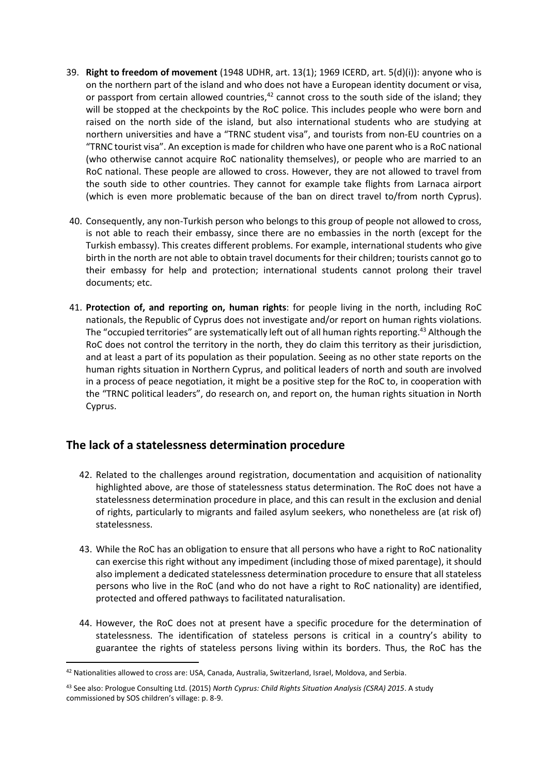- 39. **Right to freedom of movement** (1948 UDHR, art. 13(1); 1969 ICERD, art. 5(d)(i)): anyone who is on the northern part of the island and who does not have a European identity document or visa, or passport from certain allowed countries, $42$  cannot cross to the south side of the island; they will be stopped at the checkpoints by the RoC police. This includes people who were born and raised on the north side of the island, but also international students who are studying at northern universities and have a "TRNC student visa", and tourists from non-EU countries on a "TRNC tourist visa". An exception is made for children who have one parent who is a RoC national (who otherwise cannot acquire RoC nationality themselves), or people who are married to an RoC national. These people are allowed to cross. However, they are not allowed to travel from the south side to other countries. They cannot for example take flights from Larnaca airport (which is even more problematic because of the ban on direct travel to/from north Cyprus).
- 40. Consequently, any non-Turkish person who belongs to this group of people not allowed to cross, is not able to reach their embassy, since there are no embassies in the north (except for the Turkish embassy). This creates different problems. For example, international students who give birth in the north are not able to obtain travel documents for their children; tourists cannot go to their embassy for help and protection; international students cannot prolong their travel documents; etc.
- 41. **Protection of, and reporting on, human rights**: for people living in the north, including RoC nationals, the Republic of Cyprus does not investigate and/or report on human rights violations. The "occupied territories" are systematically left out of all human rights reporting.<sup>43</sup> Although the RoC does not control the territory in the north, they do claim this territory as their jurisdiction, and at least a part of its population as their population. Seeing as no other state reports on the human rights situation in Northern Cyprus, and political leaders of north and south are involved in a process of peace negotiation, it might be a positive step for the RoC to, in cooperation with the "TRNC political leaders", do research on, and report on, the human rights situation in North Cyprus.

## **The lack of a statelessness determination procedure**

- 42. Related to the challenges around registration, documentation and acquisition of nationality highlighted above, are those of statelessness status determination. The RoC does not have a statelessness determination procedure in place, and this can result in the exclusion and denial of rights, particularly to migrants and failed asylum seekers, who nonetheless are (at risk of) statelessness.
- 43. While the RoC has an obligation to ensure that all persons who have a right to RoC nationality can exercise this right without any impediment (including those of mixed parentage), it should also implement a dedicated statelessness determination procedure to ensure that all stateless persons who live in the RoC (and who do not have a right to RoC nationality) are identified, protected and offered pathways to facilitated naturalisation.
- 44. However, the RoC does not at present have a specific procedure for the determination of statelessness. The identification of stateless persons is critical in a country's ability to guarantee the rights of stateless persons living within its borders. Thus, the RoC has the

<sup>42</sup> Nationalities allowed to cross are: USA, Canada, Australia, Switzerland, Israel, Moldova, and Serbia.

<sup>43</sup> See also: Prologue Consulting Ltd. (2015) *North Cyprus: Child Rights Situation Analysis (CSRA) 2015*. A study commissioned by SOS children's village: p. 8-9.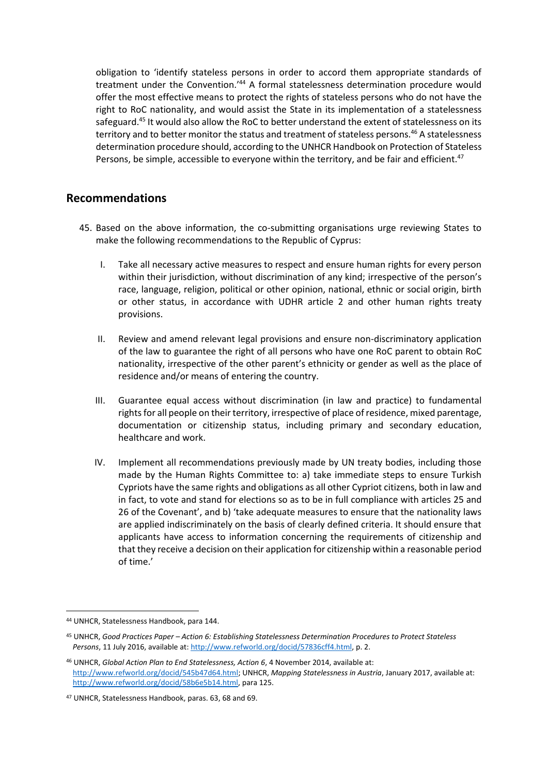obligation to 'identify stateless persons in order to accord them appropriate standards of treatment under the Convention.'<sup>44</sup> A formal statelessness determination procedure would offer the most effective means to protect the rights of stateless persons who do not have the right to RoC nationality, and would assist the State in its implementation of a statelessness safeguard.<sup>45</sup> It would also allow the RoC to better understand the extent of statelessness on its territory and to better monitor the status and treatment of stateless persons.<sup>46</sup> A statelessness determination procedure should, according to the UNHCR Handbook on Protection of Stateless Persons, be simple, accessible to everyone within the territory, and be fair and efficient.<sup>47</sup>

#### **Recommendations**

- 45. Based on the above information, the co-submitting organisations urge reviewing States to make the following recommendations to the Republic of Cyprus:
	- I. Take all necessary active measures to respect and ensure human rights for every person within their jurisdiction, without discrimination of any kind; irrespective of the person's race, language, religion, political or other opinion, national, ethnic or social origin, birth or other status, in accordance with UDHR article 2 and other human rights treaty provisions.
	- II. Review and amend relevant legal provisions and ensure non-discriminatory application of the law to guarantee the right of all persons who have one RoC parent to obtain RoC nationality, irrespective of the other parent's ethnicity or gender as well as the place of residence and/or means of entering the country.
	- III. Guarantee equal access without discrimination (in law and practice) to fundamental rights for all people on their territory, irrespective of place of residence, mixed parentage, documentation or citizenship status, including primary and secondary education, healthcare and work.
	- IV. Implement all recommendations previously made by UN treaty bodies, including those made by the Human Rights Committee to: a) take immediate steps to ensure Turkish Cypriots have the same rights and obligations as all other Cypriot citizens, both in law and in fact, to vote and stand for elections so as to be in full compliance with articles 25 and 26 of the Covenant', and b) 'take adequate measures to ensure that the nationality laws are applied indiscriminately on the basis of clearly defined criteria. It should ensure that applicants have access to information concerning the requirements of citizenship and that they receive a decision on their application for citizenship within a reasonable period of time.'

 $\overline{a}$ 

<sup>44</sup> UNHCR, Statelessness Handbook, para 144.

<sup>45</sup> UNHCR, *Good Practices Paper – Action 6: Establishing Statelessness Determination Procedures to Protect Stateless Persons*, 11 July 2016, available at[: http://www.refworld.org/docid/57836cff4.html,](http://www.refworld.org/docid/57836cff4.html) p. 2.

<sup>46</sup> UNHCR, *Global Action Plan to End Statelessness, Action 6*, 4 November 2014, available at: [http://www.refworld.org/docid/545b47d64.html;](http://www.refworld.org/docid/545b47d64.html) UNHCR, *Mapping Statelessness in Austria*, January 2017, available at: [http://www.refworld.org/docid/58b6e5b14.html,](http://www.refworld.org/docid/58b6e5b14.html) para 125.

<sup>47</sup> UNHCR, Statelessness Handbook, paras. 63, 68 and 69.